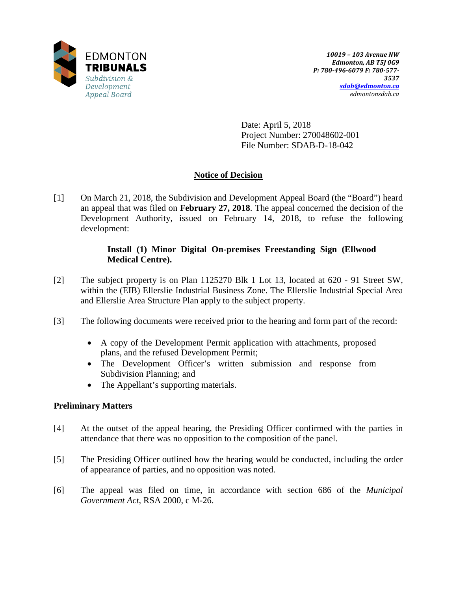

Date: April 5, 2018 Project Number: 270048602-001 File Number: SDAB-D-18-042

# **Notice of Decision**

[1] On March 21, 2018, the Subdivision and Development Appeal Board (the "Board") heard an appeal that was filed on **February 27, 2018**. The appeal concerned the decision of the Development Authority, issued on February 14, 2018, to refuse the following development:

## **Install (1) Minor Digital On-premises Freestanding Sign (Ellwood Medical Centre).**

- [2] The subject property is on Plan 1125270 Blk 1 Lot 13, located at 620 91 Street SW, within the (EIB) Ellerslie Industrial Business Zone. The Ellerslie Industrial Special Area and Ellerslie Area Structure Plan apply to the subject property.
- [3] The following documents were received prior to the hearing and form part of the record:
	- A copy of the Development Permit application with attachments, proposed plans, and the refused Development Permit;
	- The Development Officer's written submission and response from Subdivision Planning; and
	- The Appellant's supporting materials.

## **Preliminary Matters**

- [4] At the outset of the appeal hearing, the Presiding Officer confirmed with the parties in attendance that there was no opposition to the composition of the panel.
- [5] The Presiding Officer outlined how the hearing would be conducted, including the order of appearance of parties, and no opposition was noted.
- [6] The appeal was filed on time, in accordance with section 686 of the *Municipal Government Act*, RSA 2000, c M-26.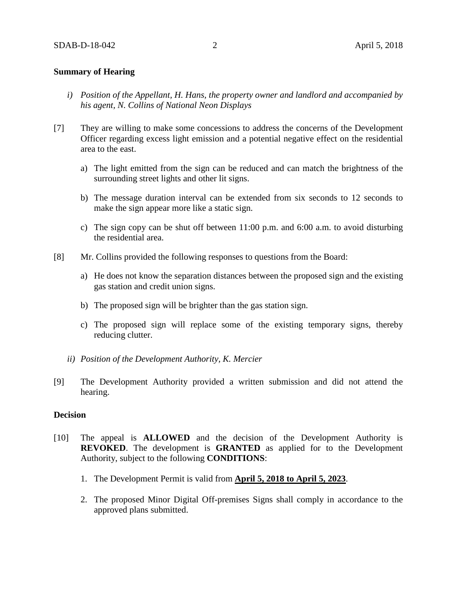### **Summary of Hearing**

- *i) Position of the Appellant, H. Hans, the property owner and landlord and accompanied by his agent, N. Collins of National Neon Displays*
- [7] They are willing to make some concessions to address the concerns of the Development Officer regarding excess light emission and a potential negative effect on the residential area to the east.
	- a) The light emitted from the sign can be reduced and can match the brightness of the surrounding street lights and other lit signs.
	- b) The message duration interval can be extended from six seconds to 12 seconds to make the sign appear more like a static sign.
	- c) The sign copy can be shut off between 11:00 p.m. and 6:00 a.m. to avoid disturbing the residential area.
- [8] Mr. Collins provided the following responses to questions from the Board:
	- a) He does not know the separation distances between the proposed sign and the existing gas station and credit union signs.
	- b) The proposed sign will be brighter than the gas station sign.
	- c) The proposed sign will replace some of the existing temporary signs, thereby reducing clutter.
	- *ii) Position of the Development Authority, K. Mercier*
- [9] The Development Authority provided a written submission and did not attend the hearing.

### **Decision**

- [10] The appeal is **ALLOWED** and the decision of the Development Authority is **REVOKED**. The development is **GRANTED** as applied for to the Development Authority, subject to the following **CONDITIONS**:
	- 1. The Development Permit is valid from **April 5, 2018 to April 5, 2023**.
	- 2. The proposed Minor Digital Off-premises Signs shall comply in accordance to the approved plans submitted.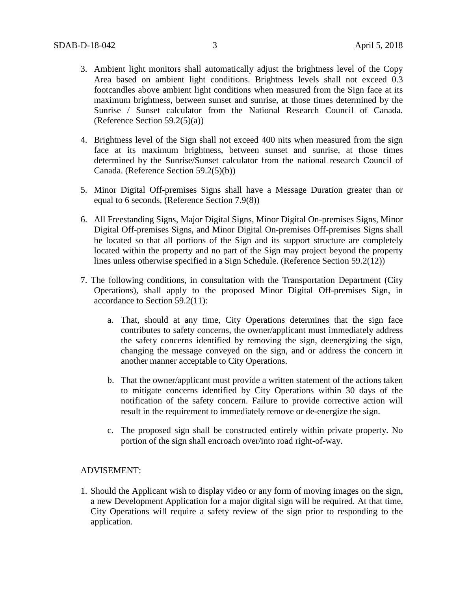- 3. Ambient light monitors shall automatically adjust the brightness level of the Copy Area based on ambient light conditions. Brightness levels shall not exceed 0.3 footcandles above ambient light conditions when measured from the Sign face at its maximum brightness, between sunset and sunrise, at those times determined by the Sunrise / Sunset calculator from the National Research Council of Canada. (Reference Section  $59.2(5)(a)$ )
- 4. Brightness level of the Sign shall not exceed 400 nits when measured from the sign face at its maximum brightness, between sunset and sunrise, at those times determined by the Sunrise/Sunset calculator from the national research Council of Canada. (Reference Section 59.2(5)(b))
- 5. Minor Digital Off-premises Signs shall have a Message Duration greater than or equal to 6 seconds. (Reference Section 7.9(8))
- 6. All Freestanding Signs, Major Digital Signs, Minor Digital On-premises Signs, Minor Digital Off-premises Signs, and Minor Digital On-premises Off-premises Signs shall be located so that all portions of the Sign and its support structure are completely located within the property and no part of the Sign may project beyond the property lines unless otherwise specified in a Sign Schedule. (Reference Section 59.2(12))
- 7. The following conditions, in consultation with the Transportation Department (City Operations), shall apply to the proposed Minor Digital Off-premises Sign, in accordance to Section 59.2(11):
	- a. That, should at any time, City Operations determines that the sign face contributes to safety concerns, the owner/applicant must immediately address the safety concerns identified by removing the sign, deenergizing the sign, changing the message conveyed on the sign, and or address the concern in another manner acceptable to City Operations.
	- b. That the owner/applicant must provide a written statement of the actions taken to mitigate concerns identified by City Operations within 30 days of the notification of the safety concern. Failure to provide corrective action will result in the requirement to immediately remove or de-energize the sign.
	- c. The proposed sign shall be constructed entirely within private property. No portion of the sign shall encroach over/into road right-of-way.

#### ADVISEMENT:

1. Should the Applicant wish to display video or any form of moving images on the sign, a new Development Application for a major digital sign will be required. At that time, City Operations will require a safety review of the sign prior to responding to the application.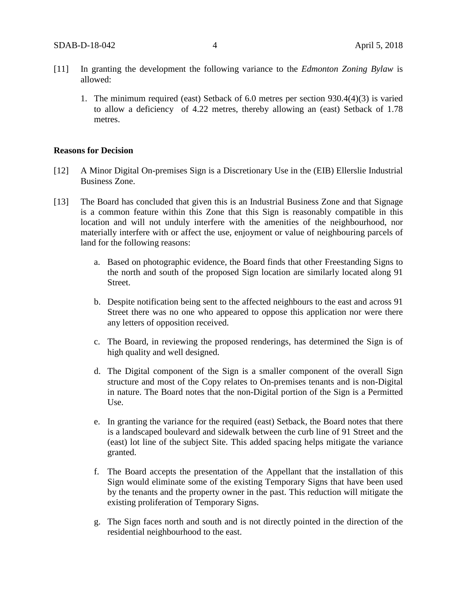- [11] In granting the development the following variance to the *Edmonton Zoning Bylaw* is allowed:
	- 1. The minimum required (east) Setback of 6.0 metres per section 930.4(4)(3) is varied to allow a deficiency of 4.22 metres, thereby allowing an (east) Setback of 1.78 metres.

#### **Reasons for Decision**

- [12] A Minor Digital On-premises Sign is a Discretionary Use in the (EIB) Ellerslie Industrial Business Zone.
- [13] The Board has concluded that given this is an Industrial Business Zone and that Signage is a common feature within this Zone that this Sign is reasonably compatible in this location and will not unduly interfere with the amenities of the neighbourhood, nor materially interfere with or affect the use, enjoyment or value of neighbouring parcels of land for the following reasons:
	- a. Based on photographic evidence, the Board finds that other Freestanding Signs to the north and south of the proposed Sign location are similarly located along 91 Street.
	- b. Despite notification being sent to the affected neighbours to the east and across 91 Street there was no one who appeared to oppose this application nor were there any letters of opposition received.
	- c. The Board, in reviewing the proposed renderings, has determined the Sign is of high quality and well designed.
	- d. The Digital component of the Sign is a smaller component of the overall Sign structure and most of the Copy relates to On-premises tenants and is non-Digital in nature. The Board notes that the non-Digital portion of the Sign is a Permitted Use.
	- e. In granting the variance for the required (east) Setback, the Board notes that there is a landscaped boulevard and sidewalk between the curb line of 91 Street and the (east) lot line of the subject Site. This added spacing helps mitigate the variance granted.
	- f. The Board accepts the presentation of the Appellant that the installation of this Sign would eliminate some of the existing Temporary Signs that have been used by the tenants and the property owner in the past. This reduction will mitigate the existing proliferation of Temporary Signs.
	- g. The Sign faces north and south and is not directly pointed in the direction of the residential neighbourhood to the east.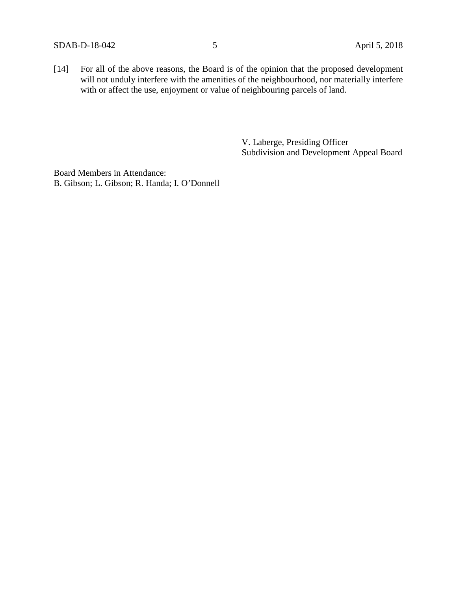[14] For all of the above reasons, the Board is of the opinion that the proposed development will not unduly interfere with the amenities of the neighbourhood, nor materially interfere with or affect the use, enjoyment or value of neighbouring parcels of land.

> V. Laberge, Presiding Officer Subdivision and Development Appeal Board

Board Members in Attendance: B. Gibson; L. Gibson; R. Handa; I. O'Donnell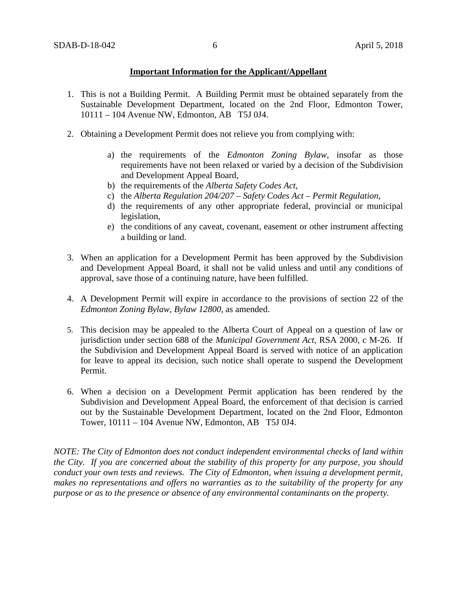## **Important Information for the Applicant/Appellant**

- 1. This is not a Building Permit. A Building Permit must be obtained separately from the Sustainable Development Department, located on the 2nd Floor, Edmonton Tower, 10111 – 104 Avenue NW, Edmonton, AB T5J 0J4.
- 2. Obtaining a Development Permit does not relieve you from complying with:
	- a) the requirements of the *Edmonton Zoning Bylaw*, insofar as those requirements have not been relaxed or varied by a decision of the Subdivision and Development Appeal Board,
	- b) the requirements of the *Alberta Safety Codes Act*,
	- c) the *Alberta Regulation 204/207 – Safety Codes Act – Permit Regulation*,
	- d) the requirements of any other appropriate federal, provincial or municipal legislation,
	- e) the conditions of any caveat, covenant, easement or other instrument affecting a building or land.
- 3. When an application for a Development Permit has been approved by the Subdivision and Development Appeal Board, it shall not be valid unless and until any conditions of approval, save those of a continuing nature, have been fulfilled.
- 4. A Development Permit will expire in accordance to the provisions of section 22 of the *Edmonton Zoning Bylaw, Bylaw 12800*, as amended.
- 5. This decision may be appealed to the Alberta Court of Appeal on a question of law or jurisdiction under section 688 of the *Municipal Government Act*, RSA 2000, c M-26. If the Subdivision and Development Appeal Board is served with notice of an application for leave to appeal its decision, such notice shall operate to suspend the Development Permit.
- 6. When a decision on a Development Permit application has been rendered by the Subdivision and Development Appeal Board, the enforcement of that decision is carried out by the Sustainable Development Department, located on the 2nd Floor, Edmonton Tower, 10111 – 104 Avenue NW, Edmonton, AB T5J 0J4.

*NOTE: The City of Edmonton does not conduct independent environmental checks of land within the City. If you are concerned about the stability of this property for any purpose, you should conduct your own tests and reviews. The City of Edmonton, when issuing a development permit, makes no representations and offers no warranties as to the suitability of the property for any purpose or as to the presence or absence of any environmental contaminants on the property.*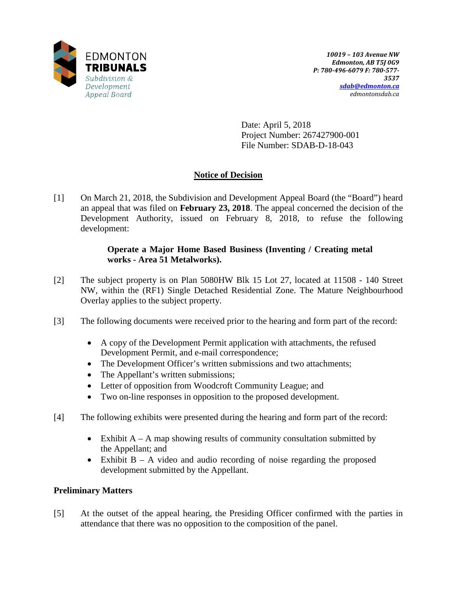

Date: April 5, 2018 Project Number: 267427900-001 File Number: SDAB-D-18-043

# **Notice of Decision**

[1] On March 21, 2018, the Subdivision and Development Appeal Board (the "Board") heard an appeal that was filed on **February 23, 2018**. The appeal concerned the decision of the Development Authority, issued on February 8, 2018, to refuse the following development:

## **Operate a Major Home Based Business (Inventing / Creating metal works - Area 51 Metalworks).**

- [2] The subject property is on Plan 5080HW Blk 15 Lot 27, located at 11508 140 Street NW, within the (RF1) Single Detached Residential Zone. The Mature Neighbourhood Overlay applies to the subject property.
- [3] The following documents were received prior to the hearing and form part of the record:
	- A copy of the Development Permit application with attachments, the refused Development Permit, and e-mail correspondence;
	- The Development Officer's written submissions and two attachments;
	- The Appellant's written submissions;
	- Letter of opposition from Woodcroft Community League; and
	- Two on-line responses in opposition to the proposed development.
- [4] The following exhibits were presented during the hearing and form part of the record:
	- Exhibit  $A A$  map showing results of community consultation submitted by the Appellant; and
	- Exhibit  $B A$  video and audio recording of noise regarding the proposed development submitted by the Appellant.

## **Preliminary Matters**

[5] At the outset of the appeal hearing, the Presiding Officer confirmed with the parties in attendance that there was no opposition to the composition of the panel.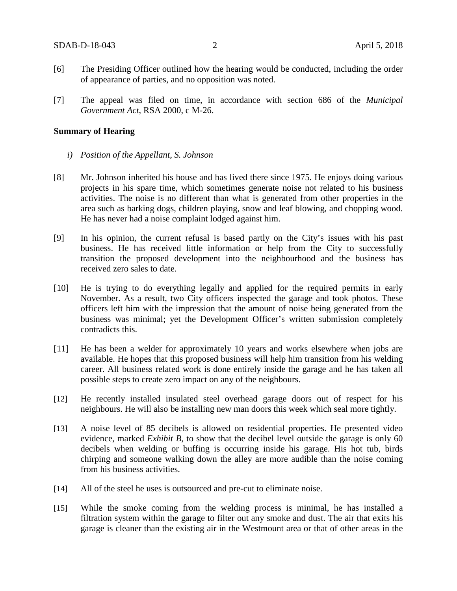- [6] The Presiding Officer outlined how the hearing would be conducted, including the order of appearance of parties, and no opposition was noted.
- [7] The appeal was filed on time, in accordance with section 686 of the *Municipal Government Act*, RSA 2000, c M-26.

### **Summary of Hearing**

- *i) Position of the Appellant, S. Johnson*
- [8] Mr. Johnson inherited his house and has lived there since 1975. He enjoys doing various projects in his spare time, which sometimes generate noise not related to his business activities. The noise is no different than what is generated from other properties in the area such as barking dogs, children playing, snow and leaf blowing, and chopping wood. He has never had a noise complaint lodged against him.
- [9] In his opinion, the current refusal is based partly on the City's issues with his past business. He has received little information or help from the City to successfully transition the proposed development into the neighbourhood and the business has received zero sales to date.
- [10] He is trying to do everything legally and applied for the required permits in early November. As a result, two City officers inspected the garage and took photos. These officers left him with the impression that the amount of noise being generated from the business was minimal; yet the Development Officer's written submission completely contradicts this.
- [11] He has been a welder for approximately 10 years and works elsewhere when jobs are available. He hopes that this proposed business will help him transition from his welding career. All business related work is done entirely inside the garage and he has taken all possible steps to create zero impact on any of the neighbours.
- [12] He recently installed insulated steel overhead garage doors out of respect for his neighbours. He will also be installing new man doors this week which seal more tightly.
- [13] A noise level of 85 decibels is allowed on residential properties. He presented video evidence, marked *Exhibit B,* to show that the decibel level outside the garage is only 60 decibels when welding or buffing is occurring inside his garage. His hot tub, birds chirping and someone walking down the alley are more audible than the noise coming from his business activities.
- [14] All of the steel he uses is outsourced and pre-cut to eliminate noise.
- [15] While the smoke coming from the welding process is minimal, he has installed a filtration system within the garage to filter out any smoke and dust. The air that exits his garage is cleaner than the existing air in the Westmount area or that of other areas in the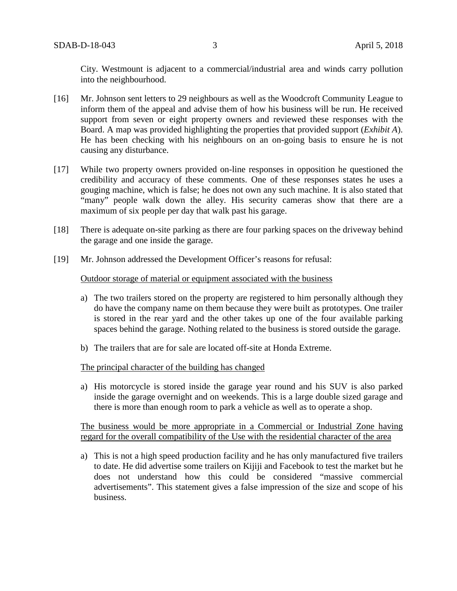City. Westmount is adjacent to a commercial/industrial area and winds carry pollution into the neighbourhood.

- [16] Mr. Johnson sent letters to 29 neighbours as well as the Woodcroft Community League to inform them of the appeal and advise them of how his business will be run. He received support from seven or eight property owners and reviewed these responses with the Board. A map was provided highlighting the properties that provided support (*Exhibit A*). He has been checking with his neighbours on an on-going basis to ensure he is not causing any disturbance.
- [17] While two property owners provided on-line responses in opposition he questioned the credibility and accuracy of these comments. One of these responses states he uses a gouging machine, which is false; he does not own any such machine. It is also stated that "many" people walk down the alley. His security cameras show that there are a maximum of six people per day that walk past his garage.
- [18] There is adequate on-site parking as there are four parking spaces on the driveway behind the garage and one inside the garage.
- [19] Mr. Johnson addressed the Development Officer's reasons for refusal:

### Outdoor storage of material or equipment associated with the business

- a) The two trailers stored on the property are registered to him personally although they do have the company name on them because they were built as prototypes. One trailer is stored in the rear yard and the other takes up one of the four available parking spaces behind the garage. Nothing related to the business is stored outside the garage.
- b) The trailers that are for sale are located off-site at Honda Extreme.

#### The principal character of the building has changed

a) His motorcycle is stored inside the garage year round and his SUV is also parked inside the garage overnight and on weekends. This is a large double sized garage and there is more than enough room to park a vehicle as well as to operate a shop.

The business would be more appropriate in a Commercial or Industrial Zone having regard for the overall compatibility of the Use with the residential character of the area

a) This is not a high speed production facility and he has only manufactured five trailers to date. He did advertise some trailers on Kijiji and Facebook to test the market but he does not understand how this could be considered "massive commercial advertisements". This statement gives a false impression of the size and scope of his business.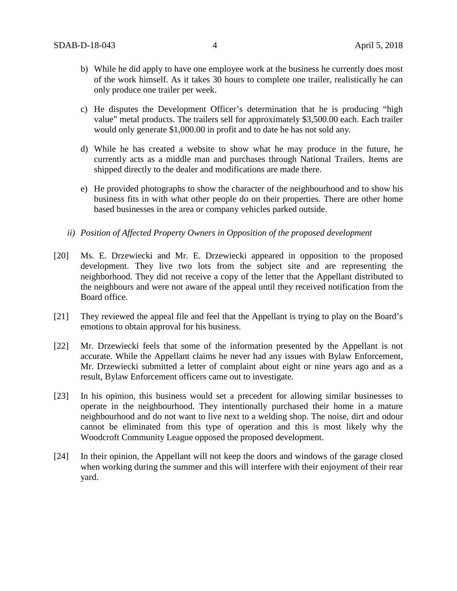- b) While he did apply to have one employee work at the business he currently does most of the work himself. As it takes 30 hours to complete one trailer, realistically he can only produce one trailer per week.
- c) He disputes the Development Officer's determination that he is producing "high value" metal products. The trailers sell for approximately \$3,500.00 each. Each trailer would only generate \$1,000.00 in profit and to date he has not sold any.
- d) While he has created a website to show what he may produce in the future, he currently acts as a middle man and purchases through National Trailers. Items are shipped directly to the dealer and modifications are made there.
- e) He provided photographs to show the character of the neighbourhood and to show his business fits in with what other people do on their properties. There are other home based businesses in the area or company vehicles parked outside.
- *ii) Position of Affected Property Owners in Opposition of the proposed development*
- [20] Ms. E. Drzewiecki and Mr. E. Drzewiecki appeared in opposition to the proposed development. They live two lots from the subject site and are representing the neighborhood. They did not receive a copy of the letter that the Appellant distributed to the neighbours and were not aware of the appeal until they received notification from the Board office.
- [21] They reviewed the appeal file and feel that the Appellant is trying to play on the Board's emotions to obtain approval for his business.
- [22] Mr. Drzewiecki feels that some of the information presented by the Appellant is not accurate. While the Appellant claims he never had any issues with Bylaw Enforcement, Mr. Drzewiecki submitted a letter of complaint about eight or nine years ago and as a result, Bylaw Enforcement officers came out to investigate.
- [23] In his opinion, this business would set a precedent for allowing similar businesses to operate in the neighbourhood. They intentionally purchased their home in a mature neighbourhood and do not want to live next to a welding shop. The noise, dirt and odour cannot be eliminated from this type of operation and this is most likely why the Woodcroft Community League opposed the proposed development.
- [24] In their opinion, the Appellant will not keep the doors and windows of the garage closed when working during the summer and this will interfere with their enjoyment of their rear yard.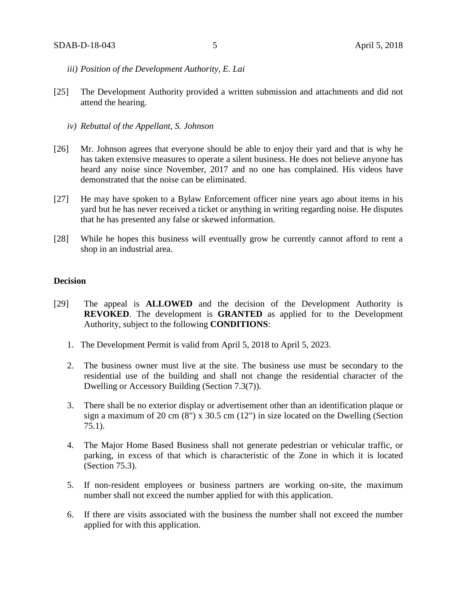- *iii) Position of the Development Authority, E. Lai*
- [25] The Development Authority provided a written submission and attachments and did not attend the hearing.
	- *iv) Rebuttal of the Appellant, S. Johnson*
- [26] Mr. Johnson agrees that everyone should be able to enjoy their yard and that is why he has taken extensive measures to operate a silent business. He does not believe anyone has heard any noise since November, 2017 and no one has complained. His videos have demonstrated that the noise can be eliminated.
- [27] He may have spoken to a Bylaw Enforcement officer nine years ago about items in his yard but he has never received a ticket or anything in writing regarding noise. He disputes that he has presented any false or skewed information.
- [28] While he hopes this business will eventually grow he currently cannot afford to rent a shop in an industrial area.

### **Decision**

- [29] The appeal is **ALLOWED** and the decision of the Development Authority is **REVOKED**. The development is **GRANTED** as applied for to the Development Authority, subject to the following **CONDITIONS**:
	- 1. The Development Permit is valid from April 5, 2018 to April 5, 2023.
	- 2. The business owner must live at the site. The business use must be secondary to the residential use of the building and shall not change the residential character of the Dwelling or Accessory Building (Section 7.3(7)).
	- 3. There shall be no exterior display or advertisement other than an identification plaque or sign a maximum of 20 cm (8") x 30.5 cm (12") in size located on the Dwelling (Section 75.1).
	- 4. The Major Home Based Business shall not generate pedestrian or vehicular traffic, or parking, in excess of that which is characteristic of the Zone in which it is located (Section 75.3).
	- 5. If non-resident employees or business partners are working on-site, the maximum number shall not exceed the number applied for with this application.
	- 6. If there are visits associated with the business the number shall not exceed the number applied for with this application.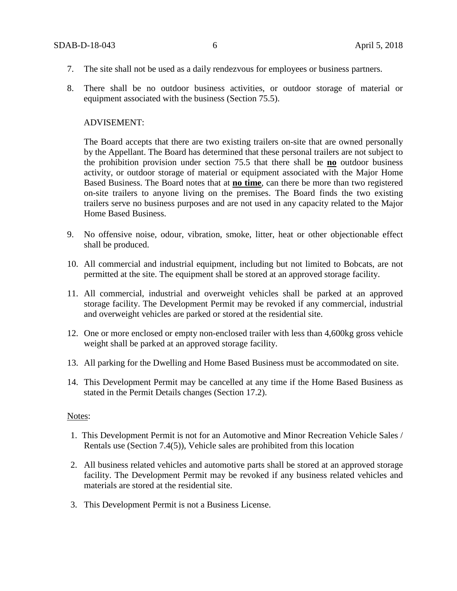- 7. The site shall not be used as a daily rendezvous for employees or business partners.
- 8. There shall be no outdoor business activities, or outdoor storage of material or equipment associated with the business (Section 75.5).

### ADVISEMENT:

The Board accepts that there are two existing trailers on-site that are owned personally by the Appellant. The Board has determined that these personal trailers are not subject to the prohibition provision under section 75.5 that there shall be **no** outdoor business activity, or outdoor storage of material or equipment associated with the Major Home Based Business. The Board notes that at **no time**, can there be more than two registered on-site trailers to anyone living on the premises. The Board finds the two existing trailers serve no business purposes and are not used in any capacity related to the Major Home Based Business.

- 9. No offensive noise, odour, vibration, smoke, litter, heat or other objectionable effect shall be produced.
- 10. All commercial and industrial equipment, including but not limited to Bobcats, are not permitted at the site. The equipment shall be stored at an approved storage facility.
- 11. All commercial, industrial and overweight vehicles shall be parked at an approved storage facility. The Development Permit may be revoked if any commercial, industrial and overweight vehicles are parked or stored at the residential site.
- 12. One or more enclosed or empty non-enclosed trailer with less than 4,600kg gross vehicle weight shall be parked at an approved storage facility.
- 13. All parking for the Dwelling and Home Based Business must be accommodated on site.
- 14. This Development Permit may be cancelled at any time if the Home Based Business as stated in the Permit Details changes (Section 17.2).

### Notes:

- 1. This Development Permit is not for an Automotive and Minor Recreation Vehicle Sales / Rentals use (Section 7.4(5)), Vehicle sales are prohibited from this location
- 2. All business related vehicles and automotive parts shall be stored at an approved storage facility. The Development Permit may be revoked if any business related vehicles and materials are stored at the residential site.
- 3. This Development Permit is not a Business License.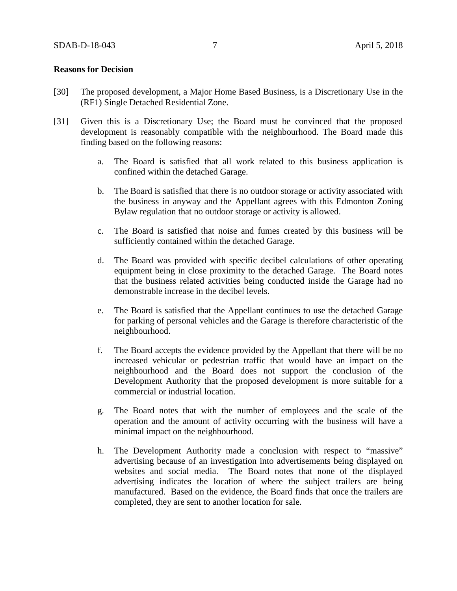### **Reasons for Decision**

- [30] The proposed development, a Major Home Based Business, is a Discretionary Use in the (RF1) Single Detached Residential Zone.
- [31] Given this is a Discretionary Use; the Board must be convinced that the proposed development is reasonably compatible with the neighbourhood. The Board made this finding based on the following reasons:
	- a. The Board is satisfied that all work related to this business application is confined within the detached Garage.
	- b. The Board is satisfied that there is no outdoor storage or activity associated with the business in anyway and the Appellant agrees with this Edmonton Zoning Bylaw regulation that no outdoor storage or activity is allowed.
	- c. The Board is satisfied that noise and fumes created by this business will be sufficiently contained within the detached Garage.
	- d. The Board was provided with specific decibel calculations of other operating equipment being in close proximity to the detached Garage. The Board notes that the business related activities being conducted inside the Garage had no demonstrable increase in the decibel levels.
	- e. The Board is satisfied that the Appellant continues to use the detached Garage for parking of personal vehicles and the Garage is therefore characteristic of the neighbourhood.
	- f. The Board accepts the evidence provided by the Appellant that there will be no increased vehicular or pedestrian traffic that would have an impact on the neighbourhood and the Board does not support the conclusion of the Development Authority that the proposed development is more suitable for a commercial or industrial location.
	- g. The Board notes that with the number of employees and the scale of the operation and the amount of activity occurring with the business will have a minimal impact on the neighbourhood.
	- h. The Development Authority made a conclusion with respect to "massive" advertising because of an investigation into advertisements being displayed on websites and social media. The Board notes that none of the displayed advertising indicates the location of where the subject trailers are being manufactured. Based on the evidence, the Board finds that once the trailers are completed, they are sent to another location for sale.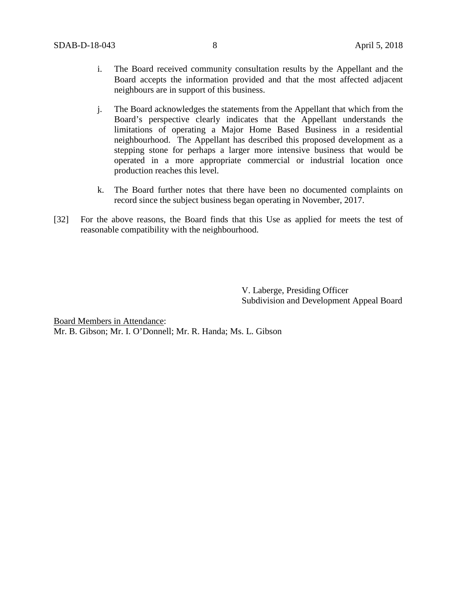- i. The Board received community consultation results by the Appellant and the Board accepts the information provided and that the most affected adjacent neighbours are in support of this business.
- j. The Board acknowledges the statements from the Appellant that which from the Board's perspective clearly indicates that the Appellant understands the limitations of operating a Major Home Based Business in a residential neighbourhood. The Appellant has described this proposed development as a stepping stone for perhaps a larger more intensive business that would be operated in a more appropriate commercial or industrial location once production reaches this level.
- k. The Board further notes that there have been no documented complaints on record since the subject business began operating in November, 2017.
- [32] For the above reasons, the Board finds that this Use as applied for meets the test of reasonable compatibility with the neighbourhood.

V. Laberge, Presiding Officer Subdivision and Development Appeal Board

Board Members in Attendance: Mr. B. Gibson; Mr. I. O'Donnell; Mr. R. Handa; Ms. L. Gibson